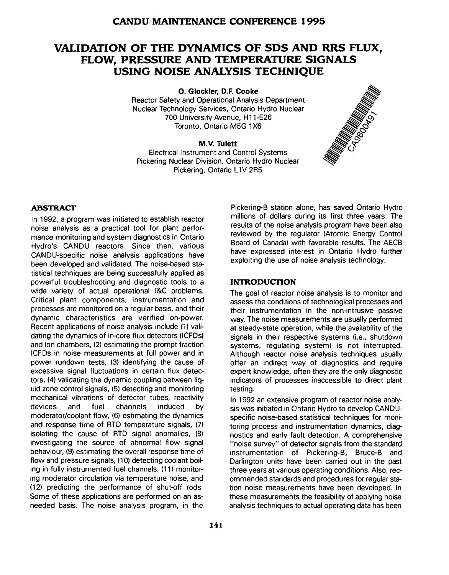# **VAUDATION OF THE DYNAMICS OF SDS AND RRS FLUX, FLOW, PRESSURE AND TEMPERATURE SIGNALS USING NOISE ANALYSIS TECHNIQUE**

**0. Glockler, D.F. Cooke**

Reactor Safety and Operational Analysis Department Nuclear Technology Services, Ontario Hydro Nuclear 700 University Avenue, H11-E26 Toronto, Ontario M5G 1X6

#### **M.V. Tulett**

Electrical Instrument and Control Systems Pickering Nuclear Division, Ontario Hydro Nuclear Pickering, Ontario L1V 2R5



#### **ABSTRACT**

In 1992, a program was initiated to establish reactor noise analysis as a practical tool for plant performance monitoring and system diagnostics in Ontario Hydro's CANDU reactors. Since then, various CANDU-specific noise analysis applications have been developed and validated. The noise-based statistical techniques are being successfully applied as powerful troubleshooting and diagnostic tools to a wide variety of actual operational I&C problems. Critical plant components, instrumentation and processes are monitored on a regular basis, and their dynamic characteristics are verified on-power. Recent applications of noise analysis include (1) validating the dynamics of in-core flux detectors (ICFDs) and ion chambers, (2) estimating the prompt fraction ICFDs in noise measurements at full power and in power rundown tests, (3) identifying the cause of excessive signal fluctuations in certain flux detectors, (4) validating the dynamic coupling between liquid zone control signals, (5) detecting and monitoring mechanical vibrations of detector tubes, reactivity devices and fuel channels induced by moderator/coolant flow, (6) estimating the dynamics and response time of RTD temperature signals, (7) isolating the cause of RTD signal anomalies, (8) investigating the source of abnormal flow signal behaviour, (9) estimating the overall response time of flow and pressure signals, (10) detecting coolant boiling in fully instrumented fuel channels, (11) monitoring moderator circulation via temperature noise, and (12) predicting the performance of shut-off rods. Some of these applications are performed on an asneeded basis. The noise analysis program, in the

Pickering-B station alone, has saved Ontario Hydro millions of dollars during its first three years. The results of the noise analysis program have been also reviewed by the regulator (Atomic Energy Control Board of Canada) with favorable results. The AECB have expressed interest in Ontario Hydro further exploiting the use of noise analysis technology.

#### **INTRODUCTION**

The goal of reactor noise analysis is to monitor and assess the conditions of technological processes and their instrumentation in the non-intrusive passive way. The noise measurements are usually performed at steady-state operation, while the availability of the signals in their respective systems (i.e., shutdown systems, regulating system) is not interrupted. Although reactor noise analysis techniques usually offer an indirect way of diagnostics and require expert knowledge, often they are the only diagnostic indicators of processes inaccessible to direct plant testing.

In 1992 an extensive program of reactor noise analysis was initiated in Ontario Hydro to develop CANDUspecific noise-based statistical techniques for monitoring process and instrumentation dynamics, diagnostics and early fault detection. A comprehensive "noise survey" of detector signals from the standard instrumentation of Pickering-B, Bruce-B and Darlington units have been carried out in the past three years at various operating conditions. Also, recommended standards and procedures for regular station noise measurements have been developed. In these measurements the feasibility of applying noise analysis techniques to actual operating data has been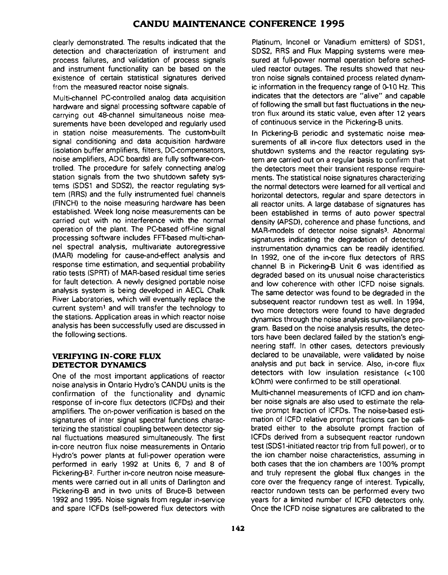clearly demonstrated. The results indicated that the detection and characterization of instrument and process failures, and validation of process signals and instrument functionality can be based on the existence of certain statistical signatures derived from the measured reactor noise signals.

Multi-channel PC-controlled analog data acquisition hardware and signal processing software capable of carrying out 48-channel simultaneous noise measurements have been developed and regularly used in station noise measurements. The custom-built signal conditioning and data acquisition hardware (isolation buffer amplifiers, filters, DC-compensators, noise amplifiers, ADC boards) are fully software-controlled. The procedure for safely connecting analog station signals from the two shutdown safety systems (SDS1 and SDS2), the reactor regulating system (RRS) and the fully instrumented fuel channels (FINCH) to the noise measuring hardware has been established. Week long noise measurements can be carried out with no interference with the normal operation of the plant. The PC-based off-line signal processing software includes FFT-based multi-channel spectral analysis, multivariate autoregressive (MAR) modeling for cause-and-effect analysis and response time estimation, and sequential probability ratio tests (SPRT) of MAR-based residual time series for fault detection. A newly designed portable noise analysis system is being developed in AECL Chalk River Laboratories, which will eventually replace the current system<sup>1</sup> and will transfer the technology to the stations. Application areas in which reactor noise analysis has been successfully used are discussed in the following sections.

### **VERIFYING IN-CORE FLUX DETECTOR DYNAMICS**

One of the most important applications of reactor noise analysis in Ontario Hydro's CANDU units is the confirmation of the functionality and dynamic response of in-core flux detectors (ICFDs) and their amplifiers. The on-power verification is based on the signatures of inter signal spectral functions characterizing the statistical coupling between detector signal fluctuations measured simultaneously. The first in-core neutron flux noise measurements in Ontario Hydro's power plants at full-power operation were performed in early 1992 at Units 6, 7 and 8 of Pickering-B<sup>2</sup> . Further in-core neutron noise measurements were carried out in all units of Darlington and Pickering-B and in two units of Bruce-B between 1992 and 1995. Noise signals from regular in-service and spare ICFDs (self-powered flux detectors with

Platinum, Inconel or Vanadium emitters) of SDS1, SDS2, RRS and Flux Mapping systems were measured at full-power normal operation before scheduled reactor outages. The results showed that neutron noise signals contained process related dynamic information in the frequency range of 0-10 Hz. This indicates that the detectors are "alive" and capable of following the small but fast fluctuations in the neutron flux around its static value, even after 12 years of continuous service in the Pickering-B units.

In Pickering-B periodic and systematic noise measurements of all in-core flux detectors used in the shutdown systems and the reactor regulating system are carried out on a regular basis to confirm that the detectors meet their transient response requirements. The statistical noise signatures characterizing the normal detectors were learned for all vertical and horizontal detectors, regular and spare detectors in all reactor units. A large database of signatures has been established in terms of auto power spectral density (APSD), coherence and phase functions, and MAR-models of detector noise signals<sup>3</sup>. Abnormal signatures indicating the degradation of detectors/ instrumentation dynamics can be readily identified. In 1992, one of the in-core flux detectors of RRS channel B in Pickering-B Unit 6 was identified as degraded based on its unusual noise characteristics and low coherence with other ICFD noise signals. The same detector was found to be degraded in the subsequent reactor rundown test as well. In 1994, two more detectors were found to have degraded dynamics through the noise analysis surveillance program. Based on the noise analysis results, the detectors have been declared failed by the station's engineering staff. In other cases, detectors previously declared to be unavailable, were validated by noise analysis and put back in service. Also, in-core flux detectors with low insulation resistance (<100 kOhm) were confirmed to be still operational.

Multi-channel measurements of ICFD and ion chamber noise signals are also used to estimate the relative prompt fraction of ICFDs. The noise-based estimation of ICFD relative prompt fractions can be calibrated either to the absolute prompt fraction of ICFDs derived from a subsequent reactor rundown test (SDS1 -initiated reactor trip from full power), or to the ion chamber noise characteristics, assuming in both cases that the ion chambers are 100% prompt and truly represent the global flux changes in the core over the frequency range of interest. Typically, reactor rundown tests can be performed every two years for a limited number of ICFD detectors only. Once the ICFD noise signatures are calibrated to the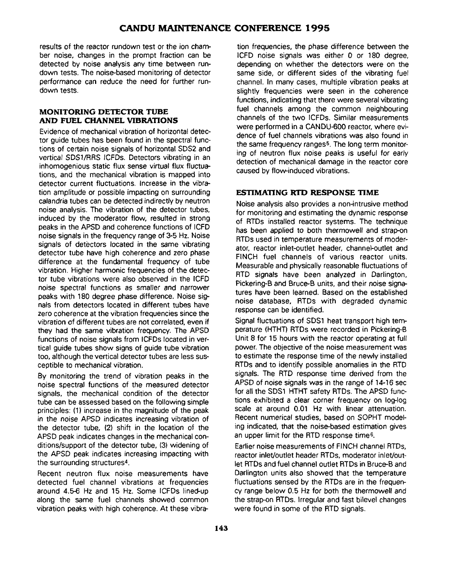results of the reactor rundown test or the ion chamber noise, changes in the prompt fraction can be detected by noise analysis any time between rundown tests. The noise-based monitoring of detector performance can reduce the need for further rundown tests.

### **MONITORING DETECTOR TUBE AND FUEL CHANNEL VIBRATIONS**

Evidence of mechanical vibration of horizontal detector guide tubes has been found in the spectral functions of certain noise signals of horizontal SDS2 and vertical SDS1/RRS ICFDs. Detectors vibrating in an inhomogenious static flux sense virtual flux fluctuations, and the mechanical vibration is mapped into detector current fluctuations. Increase in the vibration amplitude or possible impacting on surrounding calandria tubes can be detected indirectly by neutron noise analysis. The vibration of the detector tubes, induced by the moderator flow, resulted in strong peaks in the APSD and coherence functions of ICFD noise signals in the frequency range of 3-5 Hz. Noise signals of detectors located in the same vibrating detector tube have high coherence and zero phase difference at the fundamental frequency of tube vibration. Higher harmonic frequencies of the detector tube vibrations were also observed in the ICFD noise spectral functions as smaller and narrower peaks with 180 degree phase difference. Noise signals from detectors located in different tubes have zero coherence at the vibration frequencies since the vibration of different tubes are not correlated, even if they had the same vibration frequency. The APSD functions of noise signals from ICFDs located in vertical guide tubes show signs of guide tube vibration too, although the vertical detector tubes are less susceptible to mechanical vibration.

By monitoring the trend of vibration peaks in the noise spectral functions of the measured detector signals, the mechanical condition of the detector tube can be assessed based on the following simple principles: (1) increase in the magnitude of the peak in the noise APSD indicates increasing vibration of the detector tube, (2) shift in the location of the APSD peak indicates changes in the mechanical conditions/support of the detector tube, (3) widening of the APSD peak indicates increasing impacting with the surrounding structures<sup>4</sup> .

Recent neutron flux noise measurements have detected fuel channel vibrations at frequencies around 4.5-6 Hz and 15 Hz. Some ICFDs lined-up along the same fuel channels showed common vibration peaks with high coherence. At these vibration frequencies, the phase difference between the ICFD noise signals was either 0 or 180 degree, depending on whether the detectors were on the same side, or different sides of the vibrating fuel channel. In many cases, multiple vibration peaks at slightly frequencies were seen in the coherence functions, indicating that there were several vibrating fuel channels among the common neighbouring channels of the two ICFDs. Similar measurements were performed in a CANDU-600 reactor, where evidence of fuel channels vibrations was also found in the same frequency ranges<sup>5</sup> . The long term monitoring of neutron flux noise peaks is useful for early detection of mechanical damage in the reactor core caused by flow-induced vibrations.

# **ESTIMATING RTD RESPONSE TIME**

Noise analysis also provides a non-intrusive method for monitoring and estimating the dynamic response of RTDs installed reactor systems. The technique has been applied to both thermowell and strap-on RTDs used in temperature measurements of moderator, reactor inlet-outlet header, channel-outlet and FINCH fuel channels of various reactor units. Measurable and physically reasonable fluctuations of RTD signals have been analyzed in Darlington, Pickering-B and Bruce-B units, and their noise signatures have been learned. Based on the established noise database, RTDs with degraded dynamic response can be identified.

Signal fluctuations of SDS1 heat transport high temperature (HTHT) RTDs were recorded in Pickering-B Unit 8 for 15 hours with the reactor operating at full power. The objective of the noise measurement was to estimate the response time of the newly installed RTDs and to identify possible anomalies in the RTD signals. The RTD response time derived from the APSD of noise signals was in the range of 14-16 sec for all the SDS1 HTHT safety RTDs. The APSD functions exhibited a clear corner frequency on log-log scale at around 0.01 Hz with linear attenuation. Recent numerical studies, based on SOPHT modeling indicated, that the noise-based estimation gives an upper limit for the RTD response time<sup>6</sup> .

Earlier noise measurements of FINCH channel RTDs, reactor inlet/outlet header RTDs, moderator inlet/outlet RTDs and fuel channel outlet RTDs in Bruce-B and Darlington units also showed that the temperature fluctuations sensed by the RTDs are in the frequency range below 0.5 Hz for both the thermowell and the strap-on RTDs. Irregular and fast bilevel changes were found in some of the RTD signals.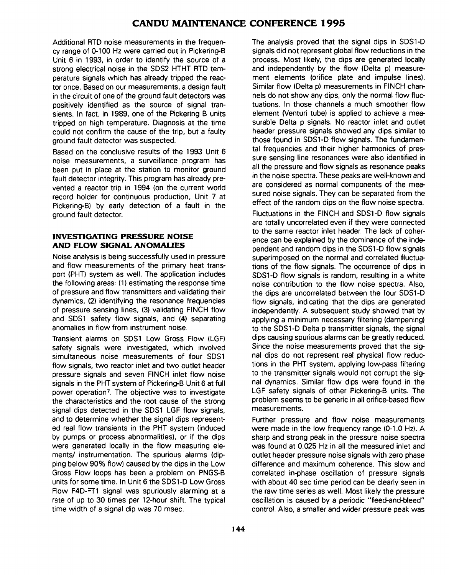Additional RTD noise measurements in the frequency range of 0-100 Hz were carried out in Pickering-B Unit 6 in 1993, in order to identify the source of a strong electrical noise in the SDS2 HTHT RTD temperature signals which has already tripped the reactor once. Based on our measurements, a design fault in the circuit of one of the ground fault detectors was positively identified as the source of signal transients. In fact, in 1989, one of the Pickering B units tripped on high temperature. Diagnosis at the time could not confirm the cause of the trip, but a faulty ground fault detector was suspected.

Based on the conclusive results of the 1993 Unit 6 noise measurements, a surveillance program has been put in place at the station to monitor ground fault detector integrity. This program has already prevented a reactor trip in 1994 (on the current world record holder for continuous production. Unit 7 at Pickering-B) by early detection of a fault in the ground fault detector.

### **INVESTIGATING PRESSURE NOISE AND FLOW SIGNAL ANOMALIES**

Noise analysis is being successfully used in pressure and flow measurements of the primary heat transport (PHT) system as well. The application includes the following areas: (1) estimating the response time of pressure and flow transmitters and validating their dynamics, (2) identifying the resonance frequencies of pressure sensing lines, (3) validating FINCH flow and SDS1 safety flow signals, and (4) separating anomalies in flow from instrument noise.

Transient alarms on SDS1 Low Gross Flow (LGF) safety signals were investigated, which involved simultaneous noise measurements of four SDS1 flow signals, two reactor inlet and two outlet header pressure signals and seven FINCH inlet flow noise signals in the PHT system of Pickering-B Unit 6 at full power operation<sup>7</sup> . The objective was to investigate the characteristics and the root cause of the strong signal dips detected in the SDS1 LGF flow signals, and to determine whether the signal dips represented real flow transients in the PHT system (induced by pumps or process abnormalities), or if the dips were generated locally in the flow measuring elements/ instrumentation. The spurious alarms (dipping below 90% flow) caused by the dips in the Low Gross Flow loops has been a problem on PNGS-B units for some time. In Unit 6 the SDS1-D Low Gross Flow F4D-FT1 signal was spuriously alarming at a rate of up to 30 times per 12-hour shift. The typical time width of a signal dip was 70 msec.

The analysis proved that the signal dips in SDS1-D signals did not represent global flow reductions in the process. Most likely, the dips are generated locally and independently by the flow (Delta p) measurement elements (orifice plate and impulse lines). Similar flow (Delta p) measurements in FINCH channels do not show any dips, only the normal flow fluctuations. In those channels a much smoother flow element (Venturi tube) is applied to achieve a measurable Delta p signals. No reactor inlet and outlet header pressure signals showed any dips similar to those found in SDS1-D flow signals. The fundamental frequencies and their higher harmonics of pressure sensing line resonances were also identified in all the pressure and flow signals as resonance peaks in the noise spectra. These peaks are well-known and are considered as normal components of the measured noise signals. They can be separated from the effect of the random dips on the flow noise spectra. Fluctuations in the FINCH and SDS1-D flow signals are totally uncorrelated even if they were connected to the same reactor inlet header. The lack of coherence can be explained by the dominance of the independent and random dips in the SDS1-D flow signals superimposed on the normal and correlated fluctuations of the flow signals. The occurrence of dips in SDS1-D flow signals is random, resulting in a white noise contribution to the flow noise spectra. Also, the dips are uncorrelated between the four SDS1-D flow signals, indicating that the dips are generated independently. A subsequent study showed that by applying a minimum necessary filtering (dampening) to the SDS1-D Delta p transmitter signals, the signal dips causing spurious alarms can be greatly reduced. Since the noise measurements proved that the signal dips do not represent real physical flow reductions in the PHT system, applying low-pass filtering to the transmitter signals would not corrupt the signal dynamics. Similar flow dips were found in the LGF safety signals of other Pickering-B units. The problem seems to be generic in all orifice-based flow measurements.

Further pressure and flow noise measurements were made in the low frequency range (0-1.0 Hz). A sharp and strong peak in the pressure noise spectra was found at 0.025 Hz in all the measured inlet and outlet header pressure noise signals with zero phase difference and maximum coherence. This slow and correlated in-phase oscillation of pressure signals with about 40 sec time period can be clearly seen in the raw time series as well. Most likely the pressure oscillation is caused by a periodic "feed-and-bleed" control. Also, a smaller and wider pressure peak was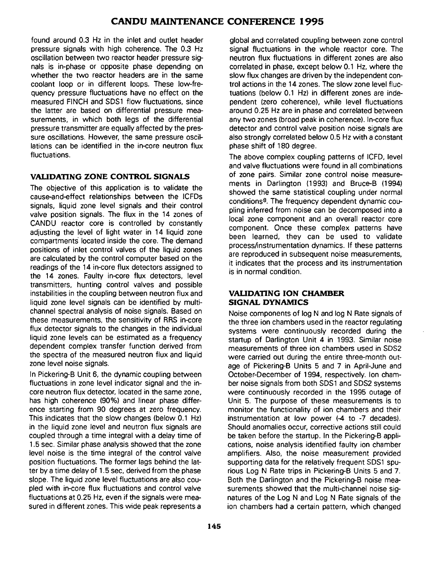found around 0.3 Hz in the inlet and outlet header pressure signals with high coherence. The 0.3 Hz oscillation between two reactor header pressure signals is in-phase or opposite phase depending on whether the two reactor headers are in the same coolant loop or in different loops. These low-frequency pressure fluctuations have no effect on the measured FINCH and SDS1 flow fluctuations, since the latter are based on differential pressure measurements, in which both legs of the differential pressure transmitter are equally affected by the pressure oscillations. However, the same pressure oscillations can be identified in the in-core neutron flux fluctuations.

# **VALIDATING ZONE CONTROL SIGNALS**

The objective of this application is to validate the cause-and-effect relationships between the ICFDs signals, liquid zone level signals and their control valve position signals. The flux in the 14 zones of CANDU reactor core is controlled by constantly adjusting the level of light water in 14 liquid zone compartments" located inside the core. The demand positions of inlet control valves of the liquid zones are calculated by the control computer based on the readings of the 14 in-core flux detectors assigned to the 14 zones. Faulty in-core flux detectors, level transmitters, hunting control valves and possible instabilities in the coupling between neutron flux and liquid zone level signals can be identified by multichannel spectral analysis of noise signals. Based on these measurements, the sensitivity of RRS in-core flux detector signals to the changes in the individual liquid zone levels can be estimated as a frequency dependent complex transfer function derived from the spectra of the measured neutron flux and liquid zone level noise signals.

In Pickering-B Unit 6, the dynamic coupling between fluctuations in zone level indicator signal and the incore neutron flux detector, located in the same zone, has high coherence (90%) and linear phase difference starting from 90 degrees at zero frequency. This indicates that the slow changes (below 0.1 Hz) in the liquid zone level and neutron flux signals are coupled through a time integral with a delay time of 1.5 sec. Similar phase analysis showed that the zone level noise is the time integral of the control valve position fluctuations. The former lags behind the latter by a time delay of 1.5 sec, derived from the phase slope. The liquid zone level fluctuations are also coupled with in-core flux fluctuations and control valve fluctuations at 0.25 Hz, even if the signals were measured in different zones. This wide peak represents a

global and correlated coupling between zone control signal fluctuations in the whole reactor core. The neutron flux fluctuations in different zones are also correlated in phase, except below 0.1 Hz, where the slow flux changes are driven by the independent control actions in the 14 zones. The slow zone level fluctuations (below 0.1 Hz) in different zones are independent (zero coherence), while level fluctuations around 0.25 Hz are in phase and correlated between any two zones (broad peak in coherence). In-core flux detector and control valve position noise signals are also strongly correlated below 0.5 Hz with a constant phase shift of 180 degree.

The above complex coupling patterns of ICFD, level and valve fluctuations were found in all combinations of zone pairs. Similar zone control noise measurements in Darlington (1993) and Bruce-B (1994) showed the same statistical coupling under normal conditions<sup>8</sup> . The frequency dependent dynamic coupling inferred from noise can be decomposed into a local zone component and an overall reactor core component. Once these complex patterns have been learned, they can be used to validate process/instrumentation dynamics. If these patterns are reproduced in subsequent noise measurements, it indicates that the process and its instrumentation is in normal condition.

### **VALIDATING ION CHAMBER SIGNAL DYNAMICS**

Noise components of log N and log N Rate signals of the three ion chambers used in the reactor regulating systems were continuously recorded during the startup of Darlington Unit 4 in 1993. Similar noise measurements of three ion chambers used in SDS2 were carried out during the entire three-month outage of Pickering-B Units 5 and 7 in April-June and October-December of 1994, respectively. Ion chamber noise signals from both SDS1 and SDS2 systems were continuously recorded in the 1995 outage of Unit 5. The purpose of these measurements is to monitor the functionality of ion chambers and their instrumentation at low power  $(4$  to  $-7$  decades). Should anomalies occur, corrective actions still could be taken before the startup. In the Pickering-B applications, noise analysis identified faulty ion chamber amplifiers. Also, the noise measurement provided supporting data for the relatively frequent SDS1 spurious Log N Rate trips in Pickering-B Units 5 and 7. Both the Darlington and the Pickering-B noise measurements showed that the multi-channel noise signatures of the Log N and Log N Rate signals of the ion chambers had a certain pattern, which changed